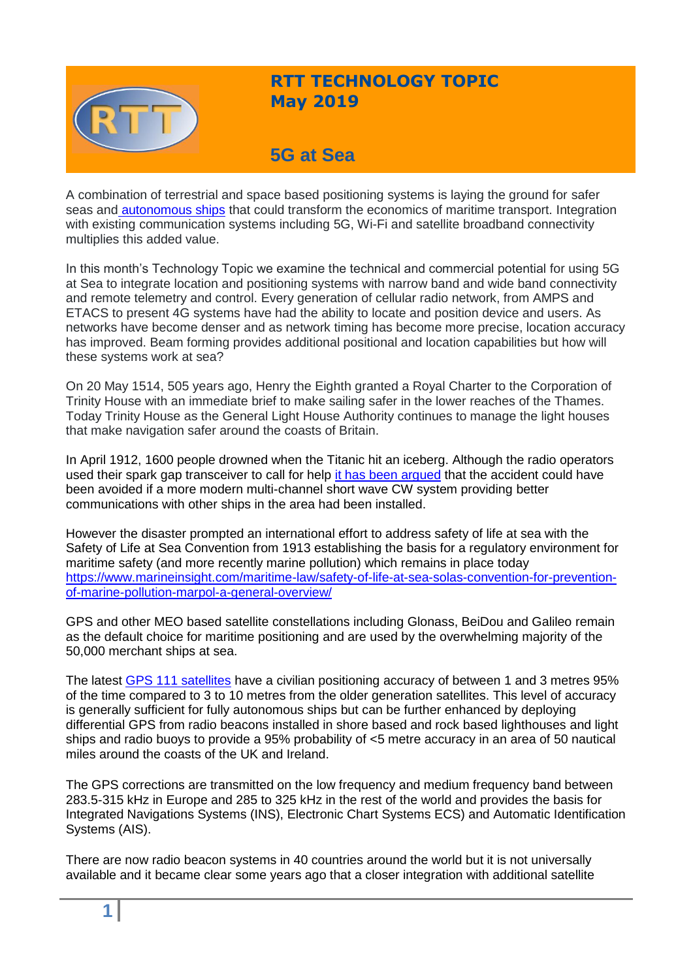

## **RTT TECHNOLOGY TOPIC May 2019**

# **5G at Sea**

A combination of terrestrial and space based positioning systems is laying the ground for safer seas and [autonomous ships](https://www.rolls-royce.com/~/media/Files/R/Rolls-Royce/documents/customers/marine/ship-intel/rr-ship-intel-aawa-8pg.pdf) that could transform the economics of maritime transport. Integration with existing communication systems including 5G, Wi-Fi and satellite broadband connectivity multiplies this added value.

In this month's Technology Topic we examine the technical and commercial potential for using 5G at Sea to integrate location and positioning systems with narrow band and wide band connectivity and remote telemetry and control. Every generation of cellular radio network, from AMPS and ETACS to present 4G systems have had the ability to locate and position device and users. As networks have become denser and as network timing has become more precise, location accuracy has improved. Beam forming provides additional positional and location capabilities but how will these systems work at sea?

On 20 May 1514, 505 years ago, Henry the Eighth granted a Royal Charter to the Corporation of Trinity House with an immediate brief to make sailing safer in the lower reaches of the Thames. Today Trinity House as the General Light House Authority continues to manage the light houses that make navigation safer around the coasts of Britain.

In April 1912, 1600 people drowned when the Titanic hit an iceberg. Although the radio operators used their spark gap transceiver to call for help [it has been argued](https://www.amazon.co.uk/Revolutions-Communication-Bill-Kovarik/dp/1628924780) that the accident could have been avoided if a more modern multi-channel short wave CW system providing better communications with other ships in the area had been installed.

However the disaster prompted an international effort to address safety of life at sea with the Safety of Life at Sea Convention from 1913 establishing the basis for a regulatory environment for maritime safety (and more recently marine pollution) which remains in place today [https://www.marineinsight.com/maritime-law/safety-of-life-at-sea-solas-convention-for-prevention](https://www.marineinsight.com/maritime-law/safety-of-life-at-sea-solas-convention-for-prevention-of-marine-pollution-marpol-a-general-overview/)[of-marine-pollution-marpol-a-general-overview/](https://www.marineinsight.com/maritime-law/safety-of-life-at-sea-solas-convention-for-prevention-of-marine-pollution-marpol-a-general-overview/)

GPS and other MEO based satellite constellations including Glonass, BeiDou and Galileo remain as the default choice for maritime positioning and are used by the overwhelming majority of the 50,000 merchant ships at sea.

The latest [GPS 111 satellites](https://www.geospatialworld.net/blogs/what-is-gps-iii-and-how-will-it-stand-apart/) have a civilian positioning accuracy of between 1 and 3 metres 95% of the time compared to 3 to 10 metres from the older generation satellites. This level of accuracy is generally sufficient for fully autonomous ships but can be further enhanced by deploying differential GPS from radio beacons installed in shore based and rock based lighthouses and light ships and radio buoys to provide a 95% probability of <5 metre accuracy in an area of 50 nautical miles around the coasts of the UK and Ireland.

The GPS corrections are transmitted on the low frequency and medium frequency band between 283.5-315 kHz in Europe and 285 to 325 kHz in the rest of the world and provides the basis for Integrated Navigations Systems (INS), Electronic Chart Systems ECS) and Automatic Identification Systems (AIS).

There are now radio beacon systems in 40 countries around the world but it is not universally available and it became clear some years ago that a closer integration with additional satellite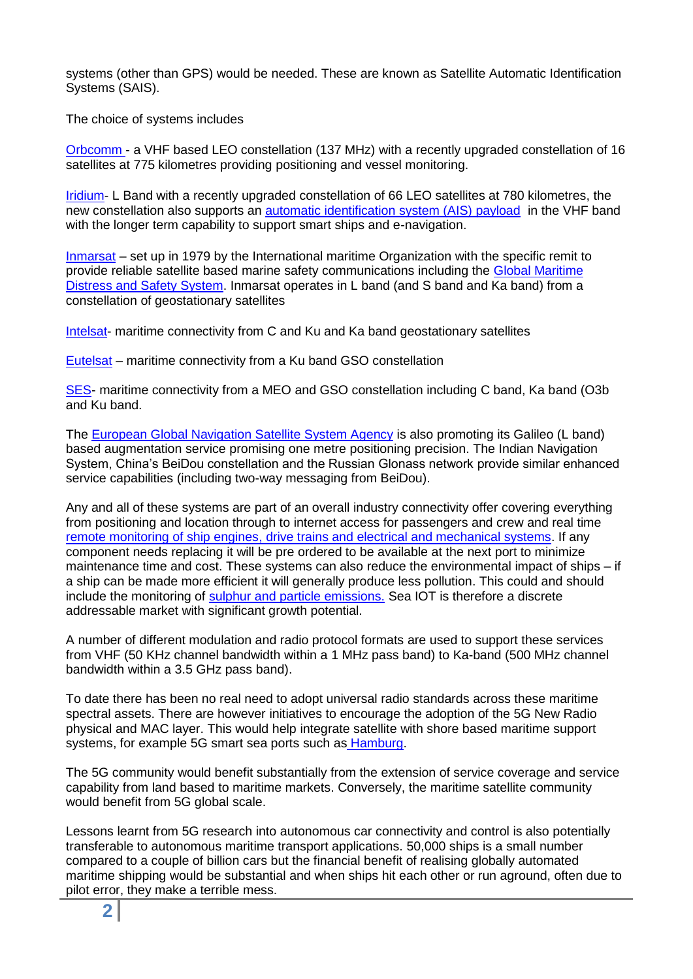systems (other than GPS) would be needed. These are known as Satellite Automatic Identification Systems (SAIS).

The choice of systems includes

[Orbcomm -](https://www.orbcomm.com/eu/networks/satellite-ais) a VHF based LEO constellation (137 MHz) with a recently upgraded constellation of 16 satellites at 775 kilometres providing positioning and vessel monitoring.

[Iridium-](https://www.iridium.com/solutions/maritime/merchant/) L Band with a recently upgraded constellation of 66 LEO satellites at 780 kilometres, the new constellation also supports an [automatic identification system \(AIS\) payload](https://www.satellitetoday.com/imagery-and-sensing/2019/02/15/exactearth-completes-ais-constellation-rollout/) in the VHF band with the longer term capability to support smart ships and e-navigation.

[Inmarsat](https://www.inmarsat.com/maritime/) – set up in 1979 by the International maritime Organization with the specific remit to provide reliable satellite based marine safety communications including the [Global Maritime](http://www.imo.org/en/OurWork/Safety/RadioCommunicationsAndSearchAndRescue/Radiocommunications/Pages/Introduction-history.aspx)  [Distress and Safety System.](http://www.imo.org/en/OurWork/Safety/RadioCommunicationsAndSearchAndRescue/Radiocommunications/Pages/Introduction-history.aspx) Inmarsat operates in L band (and S band and Ka band) from a constellation of geostationary satellites

[Intelsat-](http://www.intelsat.com/solutions/mobility/maritime/) maritime connectivity from C and Ku and Ka band geostationary satellites

[Eutelsat](https://www.eutelsat.com/en/services/data/mobility/maritime.html;jsessionid=E0F01FB3EA512CD13564FF01FD1D0CF4) – maritime connectivity from a Ku band GSO constellation

[SES-](https://www.ses.com/networks/maritime) maritime connectivity from a MEO and GSO constellation including C band, Ka band (O3b and Ku band.

The [European Global Navigation Satellite System Agency](https://www.satellitetoday.com/imagery-and-sensing/2019/02/08/thales-alenia-space-to-help-supply-satellite-navigation-services-in-africa/) is also promoting its Galileo (L band) based augmentation service promising one metre positioning precision. The Indian Navigation System, China's BeiDou constellation and the Russian Glonass network provide similar enhanced service capabilities (including two-way messaging from BeiDou).

Any and all of these systems are part of an overall industry connectivity offer covering everything from positioning and location through to internet access for passengers and crew and real time [remote monitoring of ship engines, drive trains](https://www.marinemec.com/technology/monitoring.htm) and electrical and mechanical systems. If any component needs replacing it will be pre ordered to be available at the next port to minimize maintenance time and cost. These systems can also reduce the environmental impact of ships – if a ship can be made more efficient it will generally produce less pollution. This could and should include the monitoring of [sulphur and particle emissions.](https://www2.mst.dk/Udgiv/publications/2016/02/978-87-93435-40-7.pdf) Sea IOT is therefore a discrete addressable market with significant growth potential.

A number of different modulation and radio protocol formats are used to support these services from VHF (50 KHz channel bandwidth within a 1 MHz pass band) to Ka-band (500 MHz channel bandwidth within a 3.5 GHz pass band).

To date there has been no real need to adopt universal radio standards across these maritime spectral assets. There are however initiatives to encourage the adoption of the 5G New Radio physical and MAC layer. This would help integrate satellite with shore based maritime support systems, for example 5G smart sea ports such as [Hamburg.](https://5g-monarch.eu/smart-sea-port-use-case/)

The 5G community would benefit substantially from the extension of service coverage and service capability from land based to maritime markets. Conversely, the maritime satellite community would benefit from 5G global scale.

Lessons learnt from 5G research into autonomous car connectivity and control is also potentially transferable to autonomous maritime transport applications. 50,000 ships is a small number compared to a couple of billion cars but the financial benefit of realising globally automated maritime shipping would be substantial and when ships hit each other or run aground, often due to pilot error, they make a terrible mess.